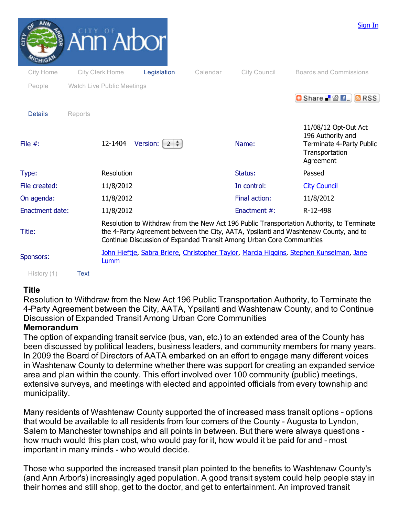|                          |         |                            | Ann Arbor            |          |                                                                      | Sign In                                                                                                                                                                           |
|--------------------------|---------|----------------------------|----------------------|----------|----------------------------------------------------------------------|-----------------------------------------------------------------------------------------------------------------------------------------------------------------------------------|
| City Home                |         | City Clerk Home            | Legislation          | Calendar | City Council                                                         | <b>Boards and Commissions</b>                                                                                                                                                     |
| People<br><b>Details</b> | Reports | Watch Live Public Meetings |                      |          |                                                                      | <b>D</b> Share 2 2 E. BRSS                                                                                                                                                        |
| File $#$ :               |         | 12-1404                    | Version:<br>$2 \div$ |          | Name:                                                                | 11/08/12 Opt-Out Act<br>196 Authority and<br><b>Terminate 4-Party Public</b><br>Transportation<br>Agreement                                                                       |
| Type:                    |         | Resolution                 |                      |          | Status:                                                              | Passed                                                                                                                                                                            |
| File created:            |         | 11/8/2012                  |                      |          | In control:                                                          | <b>City Council</b>                                                                                                                                                               |
| On agenda:               |         | 11/8/2012                  |                      |          | Final action:                                                        | 11/8/2012                                                                                                                                                                         |
| <b>Enactment date:</b>   |         | 11/8/2012                  |                      |          | Enactment #:                                                         | R-12-498                                                                                                                                                                          |
| Title:                   |         |                            |                      |          | Continue Discussion of Expanded Transit Among Urban Core Communities | Resolution to Withdraw from the New Act 196 Public Transportation Authority, to Terminate<br>the 4-Party Agreement between the City, AATA, Ypsilanti and Washtenaw County, and to |
| Sponsors:                |         | Lumm                       |                      |          |                                                                      | John Hieftie, Sabra Briere, Christopher Taylor, Marcia Higgins, Stephen Kunselman, Jane                                                                                           |
| History (1)              | Text    |                            |                      |          |                                                                      |                                                                                                                                                                                   |

## **Title**

Resolution to Withdraw from the New Act 196 Public Transportation Authority, to Terminate the 4Party Agreement between the City, AATA, Ypsilanti and Washtenaw County, and to Continue Discussion of Expanded Transit Among Urban Core Communities

## **Memorandum**

The option of expanding transit service (bus, van, etc.) to an extended area of the County has been discussed by political leaders, business leaders, and community members for many years. In 2009 the Board of Directors of AATA embarked on an effort to engage many different voices in Washtenaw County to determine whether there was support for creating an expanded service area and plan within the county. This effort involved over 100 community (public) meetings, extensive surveys, and meetings with elected and appointed officials from every township and municipality.

Many residents of Washtenaw County supported the of increased mass transit options - options that would be available to all residents from four corners of the County - Augusta to Lyndon, Salem to Manchester townships and all points in between. But there were always questions how much would this plan cost, who would pay for it, how would it be paid for and - most important in many minds - who would decide.

Those who supported the increased transit plan pointed to the benefits to Washtenaw County's (and Ann Arbor's) increasingly aged population. A good transit system could help people stay in their homes and still shop, get to the doctor, and get to entertainment. An improved transit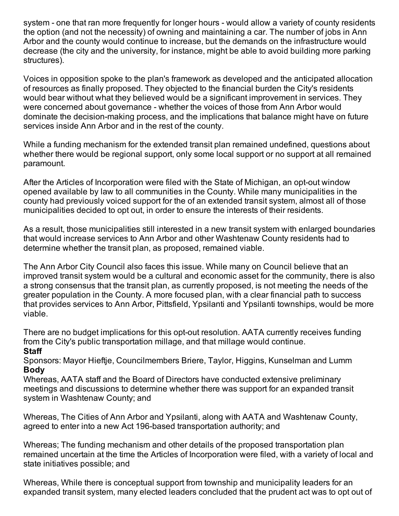system - one that ran more frequently for longer hours - would allow a variety of county residents the option (and not the necessity) of owning and maintaining a car. The number of jobs in Ann Arbor and the county would continue to increase, but the demands on the infrastructure would decrease (the city and the university, for instance, might be able to avoid building more parking structures).

Voices in opposition spoke to the plan's framework as developed and the anticipated allocation of resources as finally proposed. They objected to the financial burden the City's residents would bear without what they believed would be a significant improvement in services. They were concerned about governance - whether the voices of those from Ann Arbor would dominate the decision-making process, and the implications that balance might have on future services inside Ann Arbor and in the rest of the county.

While a funding mechanism for the extended transit plan remained undefined, questions about whether there would be regional support, only some local support or no support at all remained paramount.

After the Articles of Incorporation were filed with the State of Michigan, an opt-out window opened available by law to all communities in the County. While many municipalities in the county had previously voiced support for the of an extended transit system, almost all of those municipalities decided to opt out, in order to ensure the interests of their residents.

As a result, those municipalities still interested in a new transit system with enlarged boundaries that would increase services to Ann Arbor and other Washtenaw County residents had to determine whether the transit plan, as proposed, remained viable.

The Ann Arbor City Council also faces this issue. While many on Council believe that an improved transit system would be a cultural and economic asset for the community, there is also a strong consensus that the transit plan, as currently proposed, is not meeting the needs of the greater population in the County. A more focused plan, with a clear financial path to success that provides services to Ann Arbor, Pittsfield, Ypsilanti and Ypsilanti townships, would be more viable.

There are no budget implications for this opt-out resolution. AATA currently receives funding from the City's public transportation millage, and that millage would continue. **Staff**

Sponsors: Mayor Hieftje, Councilmembers Briere, Taylor, Higgins, Kunselman and Lumm **Body**

Whereas, AATA staff and the Board of Directors have conducted extensive preliminary meetings and discussions to determine whether there was support for an expanded transit system in Washtenaw County; and

Whereas, The Cities of Ann Arbor and Ypsilanti, along with AATA and Washtenaw County, agreed to enter into a new Act 196-based transportation authority; and

Whereas; The funding mechanism and other details of the proposed transportation plan remained uncertain at the time the Articles of Incorporation were filed, with a variety of local and state initiatives possible; and

Whereas, While there is conceptual support from township and municipality leaders for an expanded transit system, many elected leaders concluded that the prudent act was to opt out of